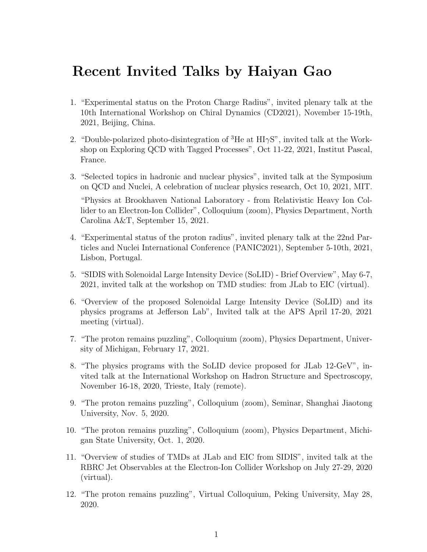## Recent Invited Talks by Haiyan Gao

- 1. "Experimental status on the Proton Charge Radius", invited plenary talk at the 10th International Workshop on Chiral Dynamics (CD2021), November 15-19th, 2021, Beijing, China.
- 2. "Double-polarized photo-disintegration of  ${}^{3}$ He at HI $\gamma S$ ", invited talk at the Workshop on Exploring QCD with Tagged Processes", Oct 11-22, 2021, Institut Pascal, France.
- 3. "Selected topics in hadronic and nuclear physics", invited talk at the Symposium on QCD and Nuclei, A celebration of nuclear physics research, Oct 10, 2021, MIT. "Physics at Brookhaven National Laboratory - from Relativistic Heavy Ion Collider to an Electron-Ion Collider", Colloquium (zoom), Physics Department, North Carolina A&T, September 15, 2021.
- 4. "Experimental status of the proton radius", invited plenary talk at the 22nd Particles and Nuclei International Conference (PANIC2021), September 5-10th, 2021, Lisbon, Portugal.
- 5. "SIDIS with Solenoidal Large Intensity Device (SoLID) Brief Overview", May 6-7, 2021, invited talk at the workshop on TMD studies: from JLab to EIC (virtual).
- 6. "Overview of the proposed Solenoidal Large Intensity Device (SoLID) and its physics programs at Jefferson Lab", Invited talk at the APS April 17-20, 2021 meeting (virtual).
- 7. "The proton remains puzzling", Colloquium (zoom), Physics Department, University of Michigan, February 17, 2021.
- 8. "The physics programs with the SoLID device proposed for JLab 12-GeV", invited talk at the International Workshop on Hadron Structure and Spectroscopy, November 16-18, 2020, Trieste, Italy (remote).
- 9. "The proton remains puzzling", Colloquium (zoom), Seminar, Shanghai Jiaotong University, Nov. 5, 2020.
- 10. "The proton remains puzzling", Colloquium (zoom), Physics Department, Michigan State University, Oct. 1, 2020.
- 11. "Overview of studies of TMDs at JLab and EIC from SIDIS", invited talk at the RBRC Jet Observables at the Electron-Ion Collider Workshop on July 27-29, 2020 (virtual).
- 12. "The proton remains puzzling", Virtual Colloquium, Peking University, May 28, 2020.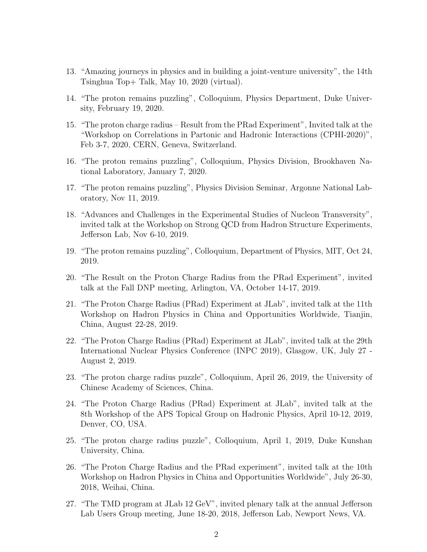- 13. "Amazing journeys in physics and in building a joint-venture university", the 14th Tsinghua Top+ Talk, May 10, 2020 (virtual).
- 14. "The proton remains puzzling", Colloquium, Physics Department, Duke University, February 19, 2020.
- 15. "The proton charge radius Result from the PRad Experiment", Invited talk at the "Workshop on Correlations in Partonic and Hadronic Interactions (CPHI-2020)", Feb 3-7, 2020, CERN, Geneva, Switzerland.
- 16. "The proton remains puzzling", Colloquium, Physics Division, Brookhaven National Laboratory, January 7, 2020.
- 17. "The proton remains puzzling", Physics Division Seminar, Argonne National Laboratory, Nov 11, 2019.
- 18. "Advances and Challenges in the Experimental Studies of Nucleon Transversity", invited talk at the Workshop on Strong QCD from Hadron Structure Experiments, Jefferson Lab, Nov 6-10, 2019.
- 19. "The proton remains puzzling", Colloquium, Department of Physics, MIT, Oct 24, 2019.
- 20. "The Result on the Proton Charge Radius from the PRad Experiment", invited talk at the Fall DNP meeting, Arlington, VA, October 14-17, 2019.
- 21. "The Proton Charge Radius (PRad) Experiment at JLab", invited talk at the 11th Workshop on Hadron Physics in China and Opportunities Worldwide, Tianjin, China, August 22-28, 2019.
- 22. "The Proton Charge Radius (PRad) Experiment at JLab", invited talk at the 29th International Nuclear Physics Conference (INPC 2019), Glasgow, UK, July 27 - August 2, 2019.
- 23. "The proton charge radius puzzle", Colloquium, April 26, 2019, the University of Chinese Academy of Sciences, China.
- 24. "The Proton Charge Radius (PRad) Experiment at JLab", invited talk at the 8th Workshop of the APS Topical Group on Hadronic Physics, April 10-12, 2019, Denver, CO, USA.
- 25. "The proton charge radius puzzle", Colloquium, April 1, 2019, Duke Kunshan University, China.
- 26. "The Proton Charge Radius and the PRad experiment", invited talk at the 10th Workshop on Hadron Physics in China and Opportunities Worldwide", July 26-30, 2018, Weihai, China.
- 27. "The TMD program at JLab 12 GeV", invited plenary talk at the annual Jefferson Lab Users Group meeting, June 18-20, 2018, Jefferson Lab, Newport News, VA.